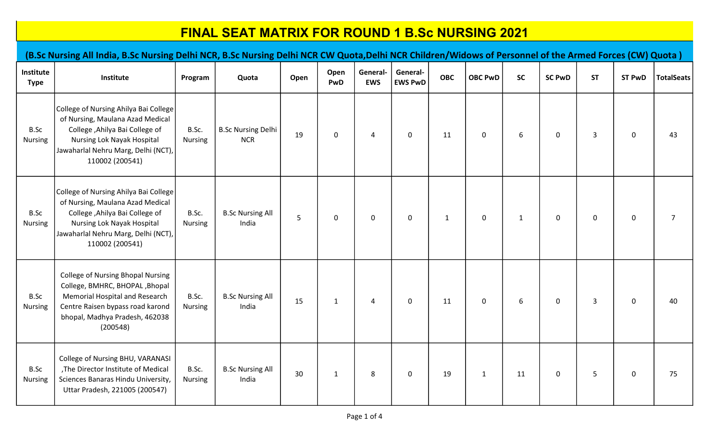|                          | (B.Sc Nursing All India, B.Sc Nursing Delhi NCR, B.Sc Nursing Delhi NCR CW Quota, Delhi NCR Children/Widows of Personnel of the Armed Forces (CW) Quota)                                             |                         |                                         |      |              |                        |                            |              |                |              |               |                |               |                   |
|--------------------------|------------------------------------------------------------------------------------------------------------------------------------------------------------------------------------------------------|-------------------------|-----------------------------------------|------|--------------|------------------------|----------------------------|--------------|----------------|--------------|---------------|----------------|---------------|-------------------|
| Institute<br><b>Type</b> | Institute                                                                                                                                                                                            | Program                 | Quota                                   | Open | Open<br>PwD  | General-<br><b>EWS</b> | General-<br><b>EWS PwD</b> | <b>OBC</b>   | <b>OBC PwD</b> | <b>SC</b>    | <b>SC PwD</b> | <b>ST</b>      | <b>ST PwD</b> | <b>TotalSeats</b> |
| B.Sc<br>Nursing          | College of Nursing Ahilya Bai College<br>of Nursing, Maulana Azad Medical<br>College , Ahilya Bai College of<br>Nursing Lok Nayak Hospital<br>Jawaharlal Nehru Marg, Delhi (NCT),<br>110002 (200541) | B.Sc.<br>Nursing        | <b>B.Sc Nursing Delhi</b><br><b>NCR</b> | 19   | 0            | 4                      | 0                          | 11           | $\mathbf 0$    | 6            | $\mathbf 0$   | 3              | $\mathbf 0$   | 43                |
| B.Sc<br>Nursing          | College of Nursing Ahilya Bai College<br>of Nursing, Maulana Azad Medical<br>College , Ahilya Bai College of<br>Nursing Lok Nayak Hospital<br>Jawaharlal Nehru Marg, Delhi (NCT),<br>110002 (200541) | B.Sc.<br><b>Nursing</b> | <b>B.Sc Nursing All</b><br>India        | 5    | $\mathbf 0$  | $\mathbf 0$            | $\mathbf 0$                | $\mathbf{1}$ | $\mathbf 0$    | $\mathbf{1}$ | $\mathsf 0$   | 0              | $\mathbf 0$   | $\overline{7}$    |
| B.Sc<br>Nursing          | <b>College of Nursing Bhopal Nursing</b><br>College, BMHRC, BHOPAL, Bhopal<br>Memorial Hospital and Research<br>Centre Raisen bypass road karond<br>bhopal, Madhya Pradesh, 462038<br>(200548)       | B.Sc.<br><b>Nursing</b> | <b>B.Sc Nursing All</b><br>India        | 15   | $\mathbf{1}$ | $\overline{4}$         | $\mathbf 0$                | 11           | $\mathbf 0$    | 6            | $\mathbf 0$   | $\overline{3}$ | $\mathbf 0$   | 40                |
| B.Sc<br><b>Nursing</b>   | College of Nursing BHU, VARANASI<br>, The Director Institute of Medical<br>Sciences Banaras Hindu University,<br>Uttar Pradesh, 221005 (200547)                                                      | B.Sc.<br><b>Nursing</b> | <b>B.Sc Nursing All</b><br>India        | 30   | $\mathbf{1}$ | 8                      | $\mathbf 0$                | 19           | $\mathbf{1}$   | 11           | $\mathbf 0$   | 5              | $\pmb{0}$     | 75                |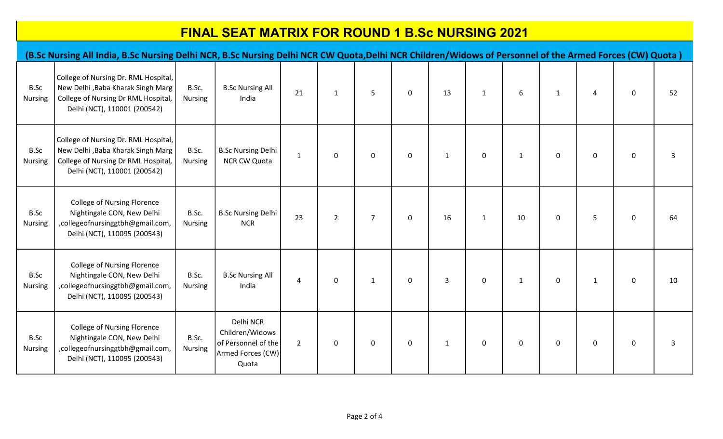|                        | (B.Sc Nursing All India, B.Sc Nursing Delhi NCR, B.Sc Nursing Delhi NCR CW Quota,Delhi NCR Children/Widows of Personnel of the Armed Forces (CW) Quota) |                         |                                                                                   |                |                |                |             |              |              |              |              |              |             |    |
|------------------------|---------------------------------------------------------------------------------------------------------------------------------------------------------|-------------------------|-----------------------------------------------------------------------------------|----------------|----------------|----------------|-------------|--------------|--------------|--------------|--------------|--------------|-------------|----|
| B.Sc<br><b>Nursing</b> | College of Nursing Dr. RML Hospital,<br>New Delhi , Baba Kharak Singh Marg<br>College of Nursing Dr RML Hospital,<br>Delhi (NCT), 110001 (200542)       | B.Sc.<br><b>Nursing</b> | <b>B.Sc Nursing All</b><br>India                                                  | 21             | $\mathbf{1}$   | 5              | $\mathbf 0$ | 13           | $\mathbf{1}$ | 6            | $\mathbf{1}$ | 4            | $\pmb{0}$   | 52 |
| B.Sc<br><b>Nursing</b> | College of Nursing Dr. RML Hospital,<br>New Delhi , Baba Kharak Singh Marg<br>College of Nursing Dr RML Hospital,<br>Delhi (NCT), 110001 (200542)       | B.Sc.<br><b>Nursing</b> | <b>B.Sc Nursing Delhi</b><br><b>NCR CW Quota</b>                                  | $\mathbf{1}$   | $\mathbf 0$    | $\mathbf 0$    | $\mathbf 0$ | $\mathbf{1}$ | $\mathbf 0$  | $\mathbf{1}$ | $\mathbf 0$  | $\mathbf 0$  | $\pmb{0}$   | 3  |
| B.Sc<br><b>Nursing</b> | <b>College of Nursing Florence</b><br>Nightingale CON, New Delhi<br>,collegeofnursinggtbh@gmail.com,<br>Delhi (NCT), 110095 (200543)                    | B.Sc.<br><b>Nursing</b> | <b>B.Sc Nursing Delhi</b><br><b>NCR</b>                                           | 23             | $\overline{2}$ | $\overline{7}$ | $\mathbf 0$ | 16           | $\mathbf{1}$ | 10           | $\mathbf 0$  | 5            | $\mathbf 0$ | 64 |
| B.Sc<br><b>Nursing</b> | <b>College of Nursing Florence</b><br>Nightingale CON, New Delhi<br>,collegeofnursinggtbh@gmail.com,<br>Delhi (NCT), 110095 (200543)                    | B.Sc.<br><b>Nursing</b> | <b>B.Sc Nursing All</b><br>India                                                  | 4              | $\mathbf 0$    | $\mathbf{1}$   | $\mathbf 0$ | $\mathbf{3}$ | $\mathbf 0$  | $\mathbf{1}$ | $\mathbf 0$  | $\mathbf{1}$ | $\mathbf 0$ | 10 |
| B.Sc<br>Nursing        | <b>College of Nursing Florence</b><br>Nightingale CON, New Delhi<br>,collegeofnursinggtbh@gmail.com,<br>Delhi (NCT), 110095 (200543)                    | B.Sc.<br>Nursing        | Delhi NCR<br>Children/Widows<br>of Personnel of the<br>Armed Forces (CW)<br>Quota | $\overline{2}$ | $\mathbf 0$    | $\mathbf 0$    | $\mathbf 0$ | $\mathbf{1}$ | $\mathbf 0$  | $\mathbf 0$  | $\mathbf 0$  | $\mathbf 0$  | $\pmb{0}$   | 3  |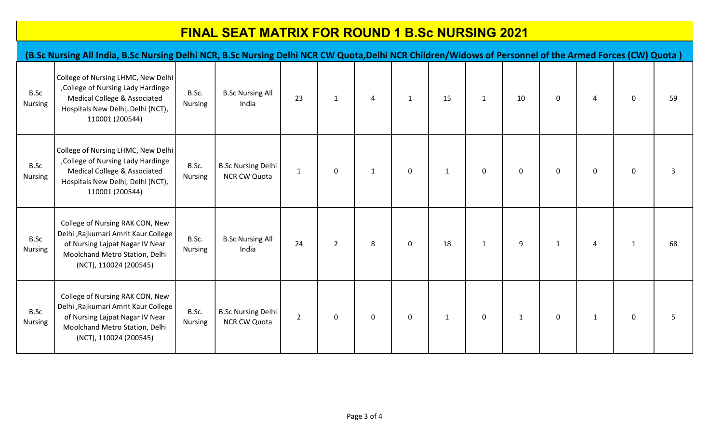|                        | (B.Sc Nursing All India, B.Sc Nursing Delhi NCR, B.Sc Nursing Delhi NCR CW Quota, Delhi NCR Children/Widows of Personnel of the Armed Forces (CW) Quota)               |                         |                                           |                |              |              |              |              |              |              |              |                |              |    |
|------------------------|------------------------------------------------------------------------------------------------------------------------------------------------------------------------|-------------------------|-------------------------------------------|----------------|--------------|--------------|--------------|--------------|--------------|--------------|--------------|----------------|--------------|----|
| B.Sc<br>Nursing        | College of Nursing LHMC, New Delhi<br>, College of Nursing Lady Hardinge<br>Medical College & Associated<br>Hospitals New Delhi, Delhi (NCT),<br>110001 (200544)       | B.Sc.<br><b>Nursing</b> | <b>B.Sc Nursing All</b><br>India          | 23             | $\mathbf{1}$ | 4            | $\mathbf{1}$ | 15           | $\mathbf{1}$ | 10           | $\mathbf{0}$ | $\overline{4}$ | 0            | 59 |
| B.Sc<br><b>Nursing</b> | College of Nursing LHMC, New Delhi<br>, College of Nursing Lady Hardinge<br>Medical College & Associated<br>Hospitals New Delhi, Delhi (NCT),<br>110001 (200544)       | B.Sc.<br><b>Nursing</b> | <b>B.Sc Nursing Delhi</b><br>NCR CW Quota | $\mathbf{1}$   | 0            | $\mathbf{1}$ | $\mathbf 0$  | $\mathbf{1}$ | $\mathbf 0$  | $\pmb{0}$    | $\mathbf 0$  | $\mathbf 0$    | $\mathbf 0$  | 3  |
| B.Sc<br><b>Nursing</b> | College of Nursing RAK CON, New<br>Delhi , Rajkumari Amrit Kaur College<br>of Nursing Lajpat Nagar IV Near<br>Moolchand Metro Station, Delhi<br>(NCT), 110024 (200545) | B.Sc.<br>Nursing        | <b>B.Sc Nursing All</b><br>India          | 24             | $2^{\circ}$  | 8            | $\mathsf 0$  | 18           | $\mathbf{1}$ | 9            | $\mathbf{1}$ | $\overline{4}$ | $\mathbf{1}$ | 68 |
| B.Sc<br>Nursing        | College of Nursing RAK CON, New<br>Delhi , Rajkumari Amrit Kaur College<br>of Nursing Lajpat Nagar IV Near<br>Moolchand Metro Station, Delhi<br>(NCT), 110024 (200545) | B.Sc.<br><b>Nursing</b> | <b>B.Sc Nursing Delhi</b><br>NCR CW Quota | $\overline{2}$ | 0            | $\mathbf 0$  | $\mathbf 0$  | $\mathbf{1}$ | $\mathbf 0$  | $\mathbf{1}$ | $\mathbf 0$  | $\mathbf{1}$   | 0            | 5  |